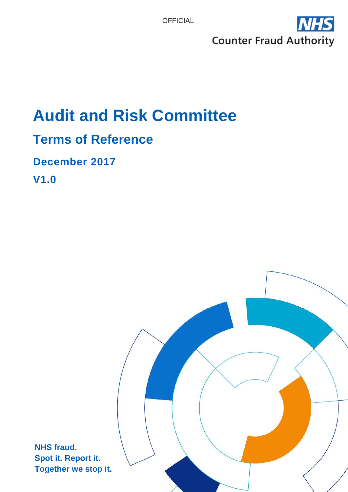

# **Audit and Risk Committee**

### **Terms of Reference**

### **December 2017**

**V1.0**

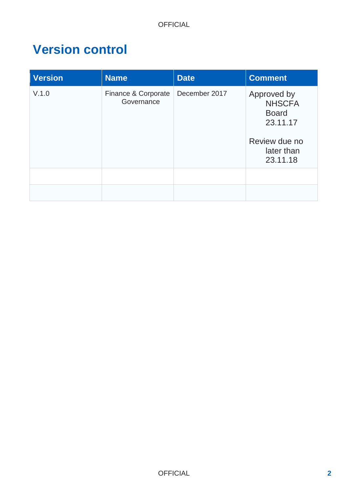### **Version control**

| <b>Version</b> | <b>Name</b>                       | <b>Date</b>   | <b>Comment</b>                                                                                      |
|----------------|-----------------------------------|---------------|-----------------------------------------------------------------------------------------------------|
| V.1.0          | Finance & Corporate<br>Governance | December 2017 | Approved by<br><b>NHSCFA</b><br><b>Board</b><br>23.11.17<br>Review due no<br>later than<br>23.11.18 |
|                |                                   |               |                                                                                                     |
|                |                                   |               |                                                                                                     |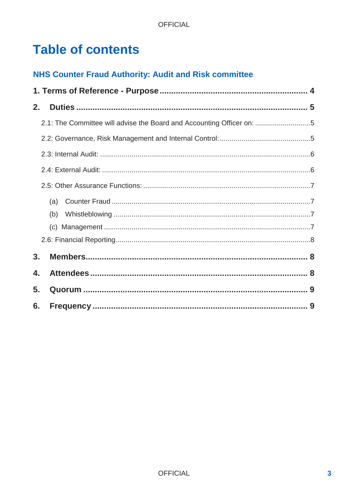# **Table of contents**

### **NHS Counter Fraud Authority: Audit and Risk committee**

| 2. |                                                                       |  |  |  |
|----|-----------------------------------------------------------------------|--|--|--|
|    | 2.1: The Committee will advise the Board and Accounting Officer on: 5 |  |  |  |
|    |                                                                       |  |  |  |
|    |                                                                       |  |  |  |
|    |                                                                       |  |  |  |
|    |                                                                       |  |  |  |
|    | (a)                                                                   |  |  |  |
|    | (b)                                                                   |  |  |  |
|    |                                                                       |  |  |  |
|    |                                                                       |  |  |  |
| 3. |                                                                       |  |  |  |
| 4. |                                                                       |  |  |  |
| 5. |                                                                       |  |  |  |
| 6. |                                                                       |  |  |  |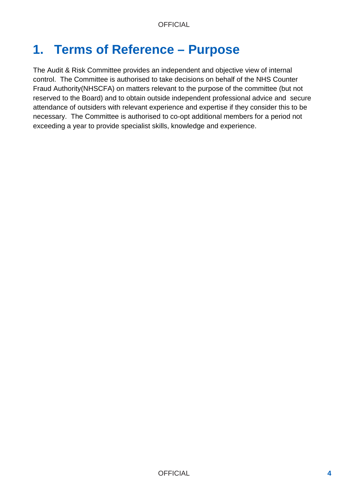## **1. Terms of Reference – Purpose**

The Audit & Risk Committee provides an independent and objective view of internal control. The Committee is authorised to take decisions on behalf of the NHS Counter Fraud Authority(NHSCFA) on matters relevant to the purpose of the committee (but not reserved to the Board) and to obtain outside independent professional advice and secure attendance of outsiders with relevant experience and expertise if they consider this to be necessary. The Committee is authorised to co-opt additional members for a period not exceeding a year to provide specialist skills, knowledge and experience.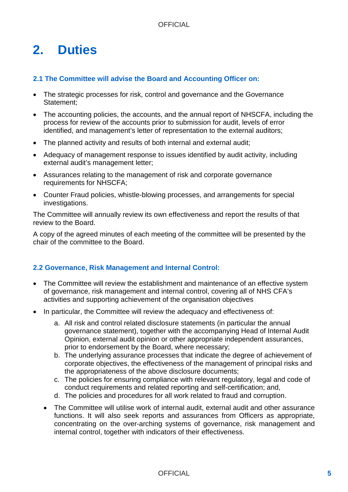# <span id="page-4-0"></span>**2. Duties**

#### <span id="page-4-1"></span>**2.1 The Committee will advise the Board and Accounting Officer on:**

- The strategic processes for risk, control and governance and the Governance Statement;
- The accounting policies, the accounts, and the annual report of NHSCFA, including the process for review of the accounts prior to submission for audit, levels of error identified, and management's letter of representation to the external auditors;
- The planned activity and results of both internal and external audit;
- Adequacy of management response to issues identified by audit activity, including external audit's management letter;
- Assurances relating to the management of risk and corporate governance requirements for NHSCFA;
- Counter Fraud policies, whistle-blowing processes, and arrangements for special investigations.

The Committee will annually review its own effectiveness and report the results of that review to the Board.

A copy of the agreed minutes of each meeting of the committee will be presented by the chair of the committee to the Board.

#### <span id="page-4-2"></span>**2.2 Governance, Risk Management and Internal Control:**

- The Committee will review the establishment and maintenance of an effective system of governance, risk management and internal control, covering all of NHS CFA's activities and supporting achievement of the organisation objectives
- In particular, the Committee will review the adequacy and effectiveness of:
	- a. All risk and control related disclosure statements (in particular the annual governance statement), together with the accompanying Head of Internal Audit Opinion, external audit opinion or other appropriate independent assurances, prior to endorsement by the Board, where necessary;
	- b. The underlying assurance processes that indicate the degree of achievement of corporate objectives, the effectiveness of the management of principal risks and the appropriateness of the above disclosure documents;
	- c. The policies for ensuring compliance with relevant regulatory, legal and code of conduct requirements and related reporting and self-certification; and,
	- d. The policies and procedures for all work related to fraud and corruption.
	- The Committee will utilise work of internal audit, external audit and other assurance functions. It will also seek reports and assurances from Officers as appropriate, concentrating on the over-arching systems of governance, risk management and internal control, together with indicators of their effectiveness.

#### OFFICIAL **5**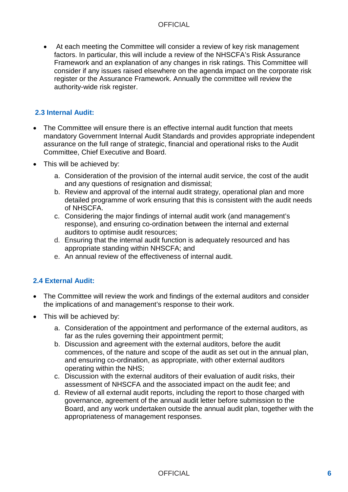• At each meeting the Committee will consider a review of key risk management factors. In particular, this will include a review of the NHSCFA's Risk Assurance Framework and an explanation of any changes in risk ratings. This Committee will consider if any issues raised elsewhere on the agenda impact on the corporate risk register or the Assurance Framework. Annually the committee will review the authority-wide risk register.

#### <span id="page-5-0"></span>**2.3 Internal Audit:**

- The Committee will ensure there is an effective internal audit function that meets mandatory Government Internal Audit Standards and provides appropriate independent assurance on the full range of strategic, financial and operational risks to the Audit Committee, Chief Executive and Board.
- This will be achieved by:
	- a. Consideration of the provision of the internal audit service, the cost of the audit and any questions of resignation and dismissal;
	- b. Review and approval of the internal audit strategy, operational plan and more detailed programme of work ensuring that this is consistent with the audit needs of NHSCFA.
	- c. Considering the major findings of internal audit work (and management's response), and ensuring co-ordination between the internal and external auditors to optimise audit resources;
	- d. Ensuring that the internal audit function is adequately resourced and has appropriate standing within NHSCFA; and
	- e. An annual review of the effectiveness of internal audit.

#### <span id="page-5-1"></span>**2.4 External Audit:**

- The Committee will review the work and findings of the external auditors and consider the implications of and management's response to their work.
- This will be achieved by:
	- a. Consideration of the appointment and performance of the external auditors, as far as the rules governing their appointment permit:
	- b. Discussion and agreement with the external auditors, before the audit commences, of the nature and scope of the audit as set out in the annual plan, and ensuring co-ordination, as appropriate, with other external auditors operating within the NHS;
	- c. Discussion with the external auditors of their evaluation of audit risks, their assessment of NHSCFA and the associated impact on the audit fee; and
	- d. Review of all external audit reports, including the report to those charged with governance, agreement of the annual audit letter before submission to the Board, and any work undertaken outside the annual audit plan, together with the appropriateness of management responses.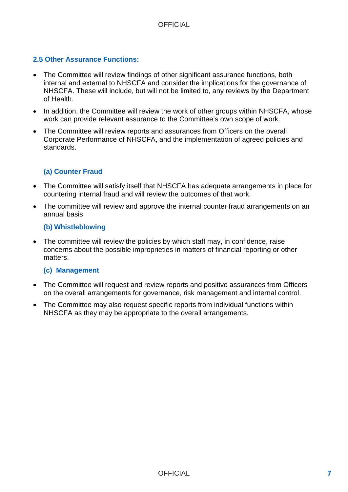#### <span id="page-6-0"></span>**2.5 Other Assurance Functions:**

- The Committee will review findings of other significant assurance functions, both internal and external to NHSCFA and consider the implications for the governance of NHSCFA. These will include, but will not be limited to, any reviews by the Department of Health.
- In addition, the Committee will review the work of other groups within NHSCFA, whose work can provide relevant assurance to the Committee's own scope of work.
- The Committee will review reports and assurances from Officers on the overall Corporate Performance of NHSCFA, and the implementation of agreed policies and standards.

#### <span id="page-6-1"></span>**(a) Counter Fraud**

- The Committee will satisfy itself that NHSCFA has adequate arrangements in place for countering internal fraud and will review the outcomes of that work.
- The committee will review and approve the internal counter fraud arrangements on an annual basis

#### <span id="page-6-2"></span>**(b) Whistleblowing**

• The committee will review the policies by which staff may, in confidence, raise concerns about the possible improprieties in matters of financial reporting or other matters.

#### <span id="page-6-3"></span>**(c) Management**

- The Committee will request and review reports and positive assurances from Officers on the overall arrangements for governance, risk management and internal control.
- The Committee may also request specific reports from individual functions within NHSCFA as they may be appropriate to the overall arrangements.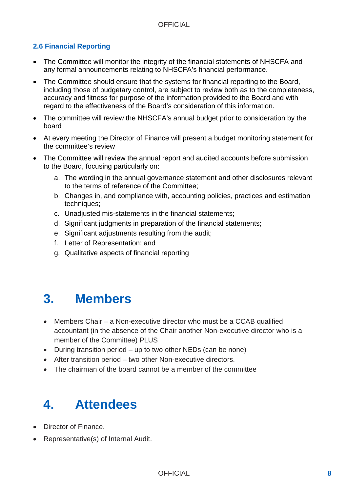#### <span id="page-7-0"></span>**2.6 Financial Reporting**

- The Committee will monitor the integrity of the financial statements of NHSCFA and any formal announcements relating to NHSCFA's financial performance.
- The Committee should ensure that the systems for financial reporting to the Board, including those of budgetary control, are subject to review both as to the completeness, accuracy and fitness for purpose of the information provided to the Board and with regard to the effectiveness of the Board's consideration of this information.
- The committee will review the NHSCFA's annual budget prior to consideration by the board
- At every meeting the Director of Finance will present a budget monitoring statement for the committee's review
- The Committee will review the annual report and audited accounts before submission to the Board, focusing particularly on:
	- a. The wording in the annual governance statement and other disclosures relevant to the terms of reference of the Committee;
	- b. Changes in, and compliance with, accounting policies, practices and estimation techniques;
	- c. Unadjusted mis-statements in the financial statements;
	- d. Significant judgments in preparation of the financial statements;
	- e. Significant adjustments resulting from the audit;
	- f. Letter of Representation; and
	- g. Qualitative aspects of financial reporting

### <span id="page-7-1"></span>**3. Members**

- Members Chair a Non-executive director who must be a CCAB qualified accountant (in the absence of the Chair another Non-executive director who is a member of the Committee) PLUS
- During transition period up to two other NEDs (can be none)
- After transition period two other Non-executive directors.
- The chairman of the board cannot be a member of the committee

## <span id="page-7-2"></span>**4. Attendees**

- Director of Finance.
- Representative(s) of Internal Audit.